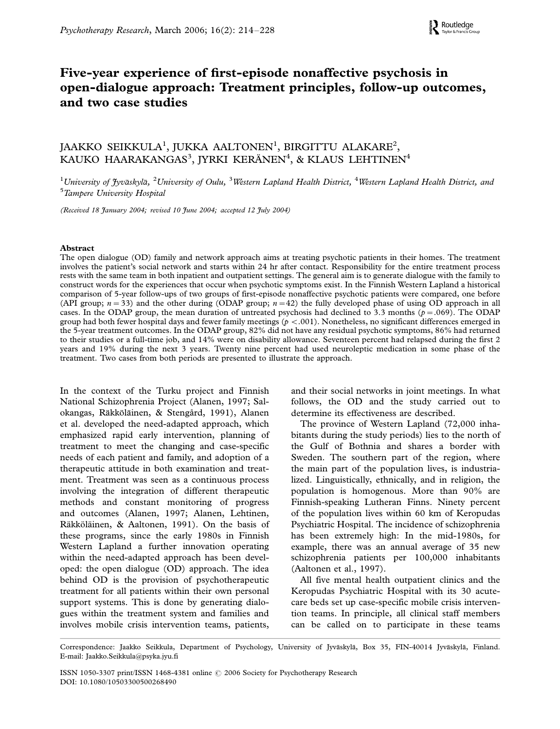# Five-year experience of first-episode nonaffective psychosis in open-dialogue approach: Treatment principles, follow-up outcomes, and two case studies

# JAAKKO SEIKKULA<sup>1</sup>, JUKKA AALTONEN<sup>1</sup>, BIRGITTU ALAKARE<sup>2</sup>, KAUKO HAARAKANGAS<sup>3</sup>, JYRKI KERÄNEN<sup>4</sup>, & KLAUS LEHTINEN<sup>4</sup>

 $^1$ University of Jyväskylä,  $^2$ University of Oulu,  $^3$ Western Lapland Health District,  $^4$ Western Lapland Health District, and <sup>5</sup>Tampere University Hospital

(Received 18 January 2004; revised 10 June 2004; accepted 12 July 2004)

# Abstract

The open dialogue (OD) family and network approach aims at treating psychotic patients in their homes. The treatment involves the patient's social network and starts within 24 hr after contact. Responsibility for the entire treatment process rests with the same team in both inpatient and outpatient settings. The general aim is to generate dialogue with the family to construct words for the experiences that occur when psychotic symptoms exist. In the Finnish Western Lapland a historical comparison of 5-year follow-ups of two groups of first-episode nonaffective psychotic patients were compared, one before (API group;  $n=33$ ) and the other during (ODAP group;  $n=42$ ) the fully developed phase of using OD approach in all cases. In the ODAP group, the mean duration of untreated psychosis had declined to 3.3 months ( $p = .069$ ). The ODAP group had both fewer hospital days and fewer family meetings ( $p < .001$ ). Nonetheless, no significant differences emerged in the 5-year treatment outcomes. In the ODAP group, 82% did not have any residual psychotic symptoms, 86% had returned to their studies or a full-time job, and 14% were on disability allowance. Seventeen percent had relapsed during the first 2 years and 19% during the next 3 years. Twenty nine percent had used neuroleptic medication in some phase of the treatment. Two cases from both periods are presented to illustrate the approach.

In the context of the Turku project and Finnish National Schizophrenia Project (Alanen, 1997; Salokangas, Räkköläinen, & Stengård, 1991), Alanen et al. developed the need-adapted approach, which emphasized rapid early intervention, planning of treatment to meet the changing and case-specific needs of each patient and family, and adoption of a therapeutic attitude in both examination and treatment. Treatment was seen as a continuous process involving the integration of different therapeutic methods and constant monitoring of progress and outcomes (Alanen, 1997; Alanen, Lehtinen, Räkköläinen, & Aaltonen, 1991). On the basis of these programs, since the early 1980s in Finnish Western Lapland a further innovation operating within the need-adapted approach has been developed: the open dialogue (OD) approach. The idea behind OD is the provision of psychotherapeutic treatment for all patients within their own personal support systems. This is done by generating dialogues within the treatment system and families and involves mobile crisis intervention teams, patients, and their social networks in joint meetings. In what follows, the OD and the study carried out to determine its effectiveness are described.

The province of Western Lapland (72,000 inhabitants during the study periods) lies to the north of the Gulf of Bothnia and shares a border with Sweden. The southern part of the region, where the main part of the population lives, is industrialized. Linguistically, ethnically, and in religion, the population is homogenous. More than 90% are Finnish-speaking Lutheran Finns. Ninety percent of the population lives within 60 km of Keropudas Psychiatric Hospital. The incidence of schizophrenia has been extremely high: In the mid-1980s, for example, there was an annual average of 35 new schizophrenia patients per 100,000 inhabitants (Aaltonen et al., 1997).

All five mental health outpatient clinics and the Keropudas Psychiatric Hospital with its 30 acutecare beds set up case-specific mobile crisis intervention teams. In principle, all clinical staff members can be called on to participate in these teams

Correspondence: Jaakko Seikkula, Department of Psychology, University of Jyväskylä, Box 35, FIN-40014 Jyväskylä, Finland. E-mail: Jaakko.Seikkula@psyka.jyu.fi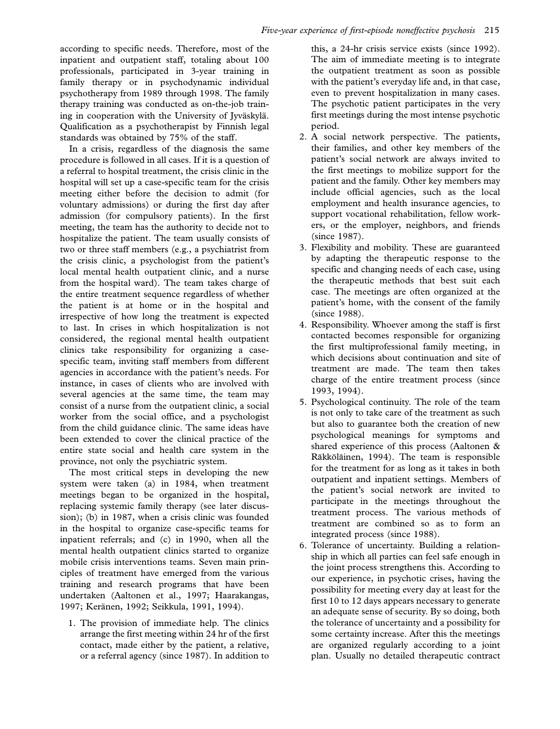according to specific needs. Therefore, most of the inpatient and outpatient staff, totaling about 100 professionals, participated in 3-year training in family therapy or in psychodynamic individual psychotherapy from 1989 through 1998. The family therapy training was conducted as on-the-job training in cooperation with the University of Ivväskylä. Qualification as a psychotherapist by Finnish legal standards was obtained by 75% of the staff.

In a crisis, regardless of the diagnosis the same procedure is followed in all cases. If it is a question of a referral to hospital treatment, the crisis clinic in the hospital will set up a case-specific team for the crisis meeting either before the decision to admit (for voluntary admissions) or during the first day after admission (for compulsory patients). In the first meeting, the team has the authority to decide not to hospitalize the patient. The team usually consists of two or three staff members (e.g., a psychiatrist from the crisis clinic, a psychologist from the patient's local mental health outpatient clinic, and a nurse from the hospital ward). The team takes charge of the entire treatment sequence regardless of whether the patient is at home or in the hospital and irrespective of how long the treatment is expected to last. In crises in which hospitalization is not considered, the regional mental health outpatient clinics take responsibility for organizing a casespecific team, inviting staff members from different agencies in accordance with the patient's needs. For instance, in cases of clients who are involved with several agencies at the same time, the team may consist of a nurse from the outpatient clinic, a social worker from the social office, and a psychologist from the child guidance clinic. The same ideas have been extended to cover the clinical practice of the entire state social and health care system in the province, not only the psychiatric system.

The most critical steps in developing the new system were taken (a) in 1984, when treatment meetings began to be organized in the hospital, replacing systemic family therapy (see later discussion); (b) in 1987, when a crisis clinic was founded in the hospital to organize case-specific teams for inpatient referrals; and (c) in 1990, when all the mental health outpatient clinics started to organize mobile crisis interventions teams. Seven main principles of treatment have emerged from the various training and research programs that have been undertaken (Aaltonen et al., 1997; Haarakangas, 1997; Keränen, 1992; Seikkula, 1991, 1994).

1. The provision of immediate help. The clinics arrange the first meeting within 24 hr of the first contact, made either by the patient, a relative, or a referral agency (since 1987). In addition to

this, a 24-hr crisis service exists (since 1992). The aim of immediate meeting is to integrate the outpatient treatment as soon as possible with the patient's everyday life and, in that case, even to prevent hospitalization in many cases. The psychotic patient participates in the very first meetings during the most intense psychotic period.

- 2. A social network perspective. The patients, their families, and other key members of the patient's social network are always invited to the first meetings to mobilize support for the patient and the family. Other key members may include official agencies, such as the local employment and health insurance agencies, to support vocational rehabilitation, fellow workers, or the employer, neighbors, and friends (since 1987).
- 3. Flexibility and mobility. These are guaranteed by adapting the therapeutic response to the specific and changing needs of each case, using the therapeutic methods that best suit each case. The meetings are often organized at the patient's home, with the consent of the family (since 1988).
- 4. Responsibility. Whoever among the staff is first contacted becomes responsible for organizing the first multiprofessional family meeting, in which decisions about continuation and site of treatment are made. The team then takes charge of the entire treatment process (since 1993, 1994).
- 5. Psychological continuity. The role of the team is not only to take care of the treatment as such but also to guarantee both the creation of new psychological meanings for symptoms and shared experience of this process (Aaltonen & Räkköläinen, 1994). The team is responsible for the treatment for as long as it takes in both outpatient and inpatient settings. Members of the patient's social network are invited to participate in the meetings throughout the treatment process. The various methods of treatment are combined so as to form an integrated process (since 1988).
- 6. Tolerance of uncertainty. Building a relationship in which all parties can feel safe enough in the joint process strengthens this. According to our experience, in psychotic crises, having the possibility for meeting every day at least for the first 10 to 12 days appears necessary to generate an adequate sense of security. By so doing, both the tolerance of uncertainty and a possibility for some certainty increase. After this the meetings are organized regularly according to a joint plan. Usually no detailed therapeutic contract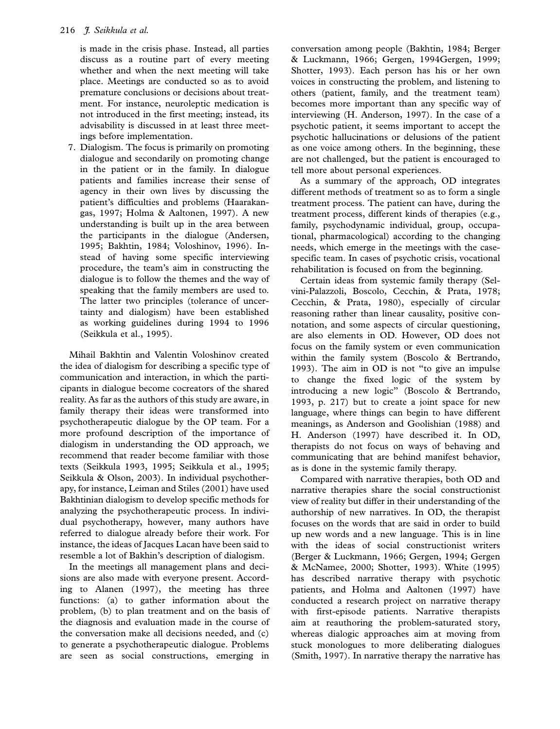is made in the crisis phase. Instead, all parties discuss as a routine part of every meeting whether and when the next meeting will take place. Meetings are conducted so as to avoid premature conclusions or decisions about treatment. For instance, neuroleptic medication is not introduced in the first meeting; instead, its advisability is discussed in at least three meetings before implementation.

7. Dialogism. The focus is primarily on promoting dialogue and secondarily on promoting change in the patient or in the family. In dialogue patients and families increase their sense of agency in their own lives by discussing the patient's difficulties and problems (Haarakangas, 1997; Holma & Aaltonen, 1997). A new understanding is built up in the area between the participants in the dialogue (Andersen, 1995; Bakhtin, 1984; Voloshinov, 1996). Instead of having some specific interviewing procedure, the team's aim in constructing the dialogue is to follow the themes and the way of speaking that the family members are used to. The latter two principles (tolerance of uncertainty and dialogism) have been established as working guidelines during 1994 to 1996 (Seikkula et al., 1995).

Mihail Bakhtin and Valentin Voloshinov created the idea of dialogism for describing a specific type of communication and interaction, in which the participants in dialogue become cocreators of the shared reality. As far as the authors of this study are aware, in family therapy their ideas were transformed into psychotherapeutic dialogue by the OP team. For a more profound description of the importance of dialogism in understanding the OD approach, we recommend that reader become familiar with those texts (Seikkula 1993, 1995; Seikkula et al., 1995; Seikkula & Olson, 2003). In individual psychotherapy, for instance, Leiman and Stiles (2001) have used Bakhtinian dialogism to develop specific methods for analyzing the psychotherapeutic process. In individual psychotherapy, however, many authors have referred to dialogue already before their work. For instance, the ideas of Jacques Lacan have been said to resemble a lot of Bakhin's description of dialogism.

In the meetings all management plans and decisions are also made with everyone present. According to Alanen (1997), the meeting has three functions: (a) to gather information about the problem, (b) to plan treatment and on the basis of the diagnosis and evaluation made in the course of the conversation make all decisions needed, and (c) to generate a psychotherapeutic dialogue. Problems are seen as social constructions, emerging in conversation among people (Bakhtin, 1984; Berger & Luckmann, 1966; Gergen, 1994Gergen, 1999; Shotter, 1993). Each person has his or her own voices in constructing the problem, and listening to others (patient, family, and the treatment team) becomes more important than any specific way of interviewing (H. Anderson, 1997). In the case of a psychotic patient, it seems important to accept the psychotic hallucinations or delusions of the patient as one voice among others. In the beginning, these are not challenged, but the patient is encouraged to tell more about personal experiences.

As a summary of the approach, OD integrates different methods of treatment so as to form a single treatment process. The patient can have, during the treatment process, different kinds of therapies (e.g., family, psychodynamic individual, group, occupational, pharmacological) according to the changing needs, which emerge in the meetings with the casespecific team. In cases of psychotic crisis, vocational rehabilitation is focused on from the beginning.

Certain ideas from systemic family therapy (Selvini-Palazzoli, Boscolo, Cecchin, & Prata, 1978; Cecchin, & Prata, 1980), especially of circular reasoning rather than linear causality, positive connotation, and some aspects of circular questioning, are also elements in OD. However, OD does not focus on the family system or even communication within the family system (Boscolo & Bertrando, 1993). The aim in OD is not ''to give an impulse to change the fixed logic of the system by introducing a new logic'' (Boscolo & Bertrando, 1993, p. 217) but to create a joint space for new language, where things can begin to have different meanings, as Anderson and Goolishian (1988) and H. Anderson (1997) have described it. In OD, therapists do not focus on ways of behaving and communicating that are behind manifest behavior, as is done in the systemic family therapy.

Compared with narrative therapies, both OD and narrative therapies share the social constructionist view of reality but differ in their understanding of the authorship of new narratives. In OD, the therapist focuses on the words that are said in order to build up new words and a new language. This is in line with the ideas of social constructionist writers (Berger & Luckmann, 1966; Gergen, 1994; Gergen & McNamee, 2000; Shotter, 1993). White (1995) has described narrative therapy with psychotic patients, and Holma and Aaltonen (1997) have conducted a research project on narrative therapy with first-episode patients. Narrative therapists aim at reauthoring the problem-saturated story, whereas dialogic approaches aim at moving from stuck monologues to more deliberating dialogues (Smith, 1997). In narrative therapy the narrative has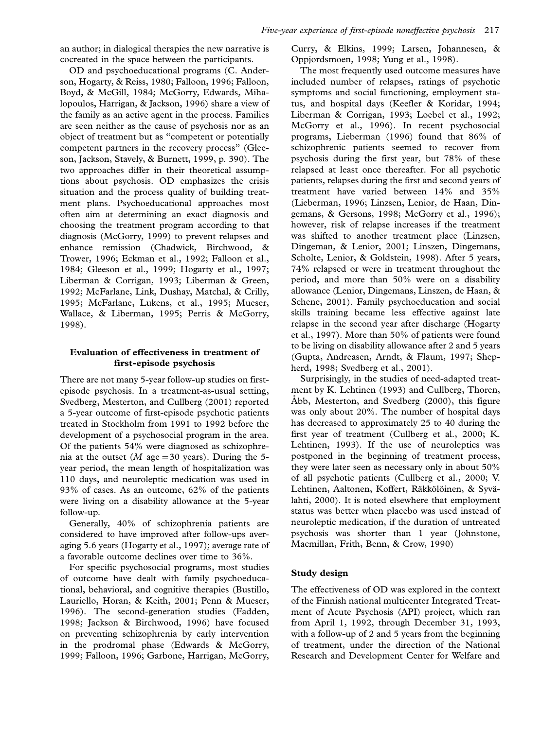an author; in dialogical therapies the new narrative is cocreated in the space between the participants.

OD and psychoeducational programs (C. Anderson, Hogarty, & Reiss, 1980; Falloon, 1996; Falloon, Boyd, & McGill, 1984; McGorry, Edwards, Mihalopoulos, Harrigan, & Jackson, 1996) share a view of the family as an active agent in the process. Families are seen neither as the cause of psychosis nor as an object of treatment but as ''competent or potentially competent partners in the recovery process'' (Gleeson, Jackson, Stavely, & Burnett, 1999, p. 390). The two approaches differ in their theoretical assumptions about psychosis. OD emphasizes the crisis situation and the process quality of building treatment plans. Psychoeducational approaches most often aim at determining an exact diagnosis and choosing the treatment program according to that diagnosis (McGorry, 1999) to prevent relapses and enhance remission (Chadwick, Birchwood, & Trower, 1996; Eckman et al., 1992; Falloon et al., 1984; Gleeson et al., 1999; Hogarty et al., 1997; Liberman & Corrigan, 1993; Liberman & Green, 1992; McFarlane, Link, Dushay, Matchal, & Crilly, 1995; McFarlane, Lukens, et al., 1995; Mueser, Wallace, & Liberman, 1995; Perris & McGorry, 1998).

# Evaluation of effectiveness in treatment of first-episode psychosis

There are not many 5-year follow-up studies on firstepisode psychosis. In a treatment-as-usual setting, Svedberg, Mesterton, and Cullberg (2001) reported a 5-year outcome of first-episode psychotic patients treated in Stockholm from 1991 to 1992 before the development of a psychosocial program in the area. Of the patients 54% were diagnosed as schizophrenia at the outset (*M* age = 30 years). During the 5year period, the mean length of hospitalization was 110 days, and neuroleptic medication was used in 93% of cases. As an outcome, 62% of the patients were living on a disability allowance at the 5-year follow-up.

Generally, 40% of schizophrenia patients are considered to have improved after follow-ups averaging 5.6 years (Hogarty et al., 1997); average rate of a favorable outcome declines over time to 36%.

For specific psychosocial programs, most studies of outcome have dealt with family psychoeducational, behavioral, and cognitive therapies (Bustillo, Lauriello, Horan, & Keith, 2001; Penn & Mueser, 1996). The second-generation studies (Fadden, 1998; Jackson & Birchwood, 1996) have focused on preventing schizophrenia by early intervention in the prodromal phase (Edwards & McGorry, 1999; Falloon, 1996; Garbone, Harrigan, McGorry,

Curry, & Elkins, 1999; Larsen, Johannesen, & Oppjordsmoen, 1998; Yung et al., 1998).

The most frequently used outcome measures have included number of relapses, ratings of psychotic symptoms and social functioning, employment status, and hospital days (Keefler & Koridar, 1994; Liberman & Corrigan, 1993; Loebel et al., 1992; McGorry et al., 1996). In recent psychosocial programs, Lieberman (1996) found that 86% of schizophrenic patients seemed to recover from psychosis during the first year, but 78% of these relapsed at least once thereafter. For all psychotic patients, relapses during the first and second years of treatment have varied between 14% and 35% (Lieberman, 1996; Linzsen, Lenior, de Haan, Dingemans, & Gersons, 1998; McGorry et al., 1996); however, risk of relapse increases if the treatment was shifted to another treatment place (Linzsen, Dingeman, & Lenior, 2001; Linszen, Dingemans, Scholte, Lenior, & Goldstein, 1998). After 5 years, 74% relapsed or were in treatment throughout the period, and more than 50% were on a disability allowance (Lenior, Dingemans, Linszen, de Haan, & Schene, 2001). Family psychoeducation and social skills training became less effective against late relapse in the second year after discharge (Hogarty et al., 1997). More than 50% of patients were found to be living on disability allowance after 2 and 5 years (Gupta, Andreasen, Arndt, & Flaum, 1997; Shepherd, 1998; Svedberg et al., 2001).

Surprisingly, in the studies of need-adapted treatment by K. Lehtinen (1993) and Cullberg, Thoren, Abb, Mesterton, and Svedberg (2000), this figure was only about 20%. The number of hospital days has decreased to approximately 25 to 40 during the first year of treatment (Cullberg et al., 2000; K. Lehtinen, 1993). If the use of neuroleptics was postponed in the beginning of treatment process, they were later seen as necessary only in about 50% of all psychotic patients (Cullberg et al., 2000; V. Lehtinen, Aaltonen, Koffert, Räkkölöinen, & Syvälahti, 2000). It is noted elsewhere that employment status was better when placebo was used instead of neuroleptic medication, if the duration of untreated psychosis was shorter than 1 year (Johnstone, Macmillan, Frith, Benn, & Crow, 1990)

# Study design

The effectiveness of OD was explored in the context of the Finnish national multicenter Integrated Treatment of Acute Psychosis (API) project, which ran from April 1, 1992, through December 31, 1993, with a follow-up of 2 and 5 years from the beginning of treatment, under the direction of the National Research and Development Center for Welfare and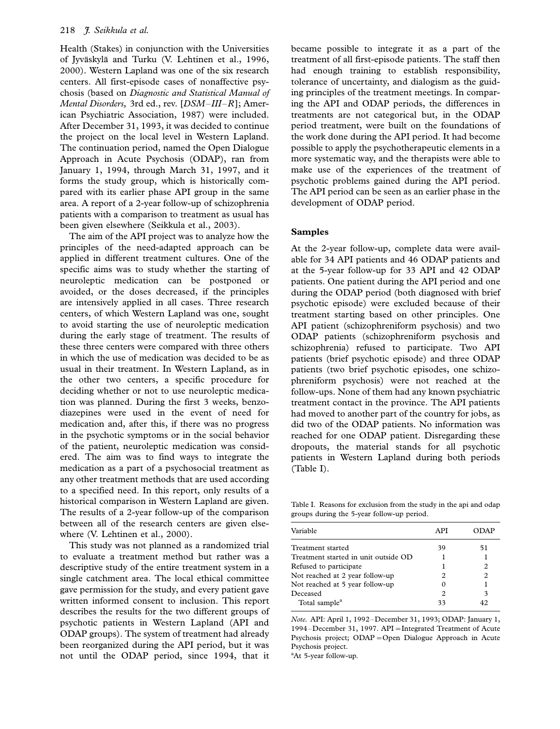Health (Stakes) in conjunction with the Universities of Jyväskylä and Turku (V. Lehtinen et al., 1996, 2000). Western Lapland was one of the six research centers. All first-episode cases of nonaffective psychosis (based on Diagnostic and Statistical Manual of Mental Disorders, 3rd ed., rev. [DSM-III-R]; American Psychiatric Association, 1987) were included. After December 31, 1993, it was decided to continue the project on the local level in Western Lapland. The continuation period, named the Open Dialogue Approach in Acute Psychosis (ODAP), ran from January 1, 1994, through March 31, 1997, and it forms the study group, which is historically compared with its earlier phase API group in the same area. A report of a 2-year follow-up of schizophrenia patients with a comparison to treatment as usual has been given elsewhere (Seikkula et al., 2003).

The aim of the API project was to analyze how the principles of the need-adapted approach can be applied in different treatment cultures. One of the specific aims was to study whether the starting of neuroleptic medication can be postponed or avoided, or the doses decreased, if the principles are intensively applied in all cases. Three research centers, of which Western Lapland was one, sought to avoid starting the use of neuroleptic medication during the early stage of treatment. The results of these three centers were compared with three others in which the use of medication was decided to be as usual in their treatment. In Western Lapland, as in the other two centers, a specific procedure for deciding whether or not to use neuroleptic medication was planned. During the first 3 weeks, benzodiazepines were used in the event of need for medication and, after this, if there was no progress in the psychotic symptoms or in the social behavior of the patient, neuroleptic medication was considered. The aim was to find ways to integrate the medication as a part of a psychosocial treatment as any other treatment methods that are used according to a specified need. In this report, only results of a historical comparison in Western Lapland are given. The results of a 2-year follow-up of the comparison between all of the research centers are given elsewhere (V. Lehtinen et al., 2000).

This study was not planned as a randomized trial to evaluate a treatment method but rather was a descriptive study of the entire treatment system in a single catchment area. The local ethical committee gave permission for the study, and every patient gave written informed consent to inclusion. This report describes the results for the two different groups of psychotic patients in Western Lapland (API and ODAP groups). The system of treatment had already been reorganized during the API period, but it was not until the ODAP period, since 1994, that it became possible to integrate it as a part of the treatment of all first-episode patients. The staff then had enough training to establish responsibility, tolerance of uncertainty, and dialogism as the guiding principles of the treatment meetings. In comparing the API and ODAP periods, the differences in treatments are not categorical but, in the ODAP period treatment, were built on the foundations of the work done during the API period. It had become possible to apply the psychotherapeutic elements in a more systematic way, and the therapists were able to make use of the experiences of the treatment of psychotic problems gained during the API period. The API period can be seen as an earlier phase in the development of ODAP period.

# Samples

At the 2-year follow-up, complete data were available for 34 API patients and 46 ODAP patients and at the 5-year follow-up for 33 API and 42 ODAP patients. One patient during the API period and one during the ODAP period (both diagnosed with brief psychotic episode) were excluded because of their treatment starting based on other principles. One API patient (schizophreniform psychosis) and two ODAP patients (schizophreniform psychosis and schizophrenia) refused to participate. Two API patients (brief psychotic episode) and three ODAP patients (two brief psychotic episodes, one schizophreniform psychosis) were not reached at the follow-ups. None of them had any known psychiatric treatment contact in the province. The API patients had moved to another part of the country for jobs, as did two of the ODAP patients. No information was reached for one ODAP patient. Disregarding these dropouts, the material stands for all psychotic patients in Western Lapland during both periods (Table I).

Table I. Reasons for exclusion from the study in the api and odap groups during the 5-year follow-up period.

| Variable                             | API                         | DAP |
|--------------------------------------|-----------------------------|-----|
| Treatment started                    | 39                          | 51  |
| Treatment started in unit outside OD |                             | 1   |
| Refused to participate               |                             | 2   |
| Not reached at 2 year follow-up      | 2                           | 2   |
| Not reached at 5 year follow-up      | 0                           | 1   |
| Deceased                             | $\mathcal{D}_{\mathcal{A}}$ | 3   |
| Total sample <sup>a</sup>            | 33                          |     |

Note. API: April 1, 1992-December 31, 1993; ODAP: January 1, 1994–December 31, 1997. API = Integrated Treatment of Acute Psychosis project;  $ODAP = Open$  Dialogue Approach in Acute Psychosis project.

<sup>a</sup>At 5-year follow-up.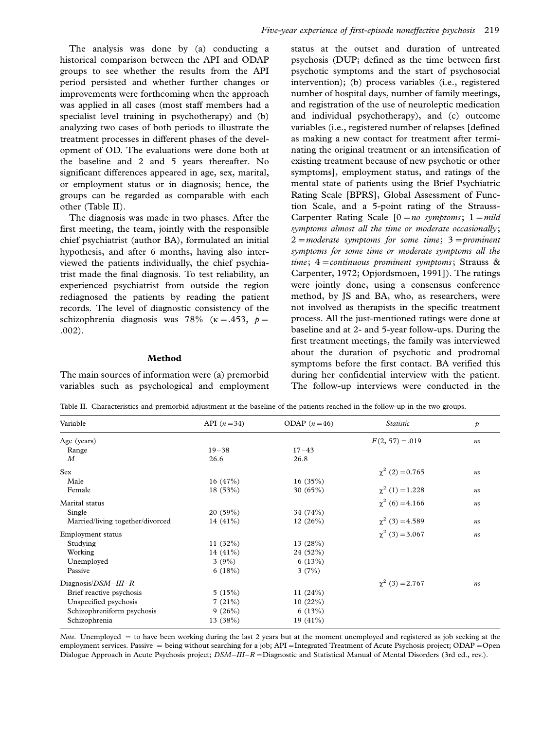The analysis was done by (a) conducting a historical comparison between the API and ODAP groups to see whether the results from the API period persisted and whether further changes or improvements were forthcoming when the approach was applied in all cases (most staff members had a specialist level training in psychotherapy) and (b) analyzing two cases of both periods to illustrate the treatment processes in different phases of the development of OD. The evaluations were done both at the baseline and 2 and 5 years thereafter. No significant differences appeared in age, sex, marital, or employment status or in diagnosis; hence, the groups can be regarded as comparable with each other (Table II).

The diagnosis was made in two phases. After the first meeting, the team, jointly with the responsible chief psychiatrist (author BA), formulated an initial hypothesis, and after 6 months, having also interviewed the patients individually, the chief psychiatrist made the final diagnosis. To test reliability, an experienced psychiatrist from outside the region rediagnosed the patients by reading the patient records. The level of diagnostic consistency of the schizophrenia diagnosis was 78% ( $\kappa = .453$ ,  $p =$ .002).

## Method

The main sources of information were (a) premorbid variables such as psychological and employment status at the outset and duration of untreated psychosis (DUP; defined as the time between first psychotic symptoms and the start of psychosocial intervention); (b) process variables (i.e., registered number of hospital days, number of family meetings, and registration of the use of neuroleptic medication and individual psychotherapy), and (c) outcome variables (i.e., registered number of relapses [defined as making a new contact for treatment after terminating the original treatment or an intensification of existing treatment because of new psychotic or other symptoms], employment status, and ratings of the mental state of patients using the Brief Psychiatric Rating Scale [BPRS], Global Assessment of Function Scale, and a 5-point rating of the Strauss-Carpenter Rating Scale  $[0 = no$  symptoms;  $1 = mild$ symptoms almost all the time or moderate occasionally;  $2 =$ moderate symptoms for some time;  $3 =$ prominent symptoms for some time or moderate symptoms all the time;  $4 =$ continuous prominent symptoms; Strauss & Carpenter, 1972; Opjordsmoen, 1991]). The ratings were jointly done, using a consensus conference method, by JS and BA, who, as researchers, were not involved as therapists in the specific treatment process. All the just-mentioned ratings were done at baseline and at 2- and 5-year follow-ups. During the first treatment meetings, the family was interviewed about the duration of psychotic and prodromal symptoms before the first contact. BA verified this during her confidential interview with the patient. The follow-up interviews were conducted in the

Table II. Characteristics and premorbid adjustment at the baseline of the patients reached in the follow-up in the two groups.

| Variable                         | $API (n = 34)$ | ODAP $(n=46)$ | Statistic              | $\mathcal{P}$ |
|----------------------------------|----------------|---------------|------------------------|---------------|
| Age (years)                      |                |               | $F(2, 57) = .019$      | ns            |
| Range                            | $19 - 38$      | $17 - 43$     |                        |               |
| М                                | 26.6           | 26.8          |                        |               |
| <b>Sex</b>                       |                |               | $\chi^2$ (2) = 0.765   | ns            |
| Male                             | 16 $(47%)$     | 16(35%)       |                        |               |
| Female                           | 18(53%)        | 30(65%)       | $\chi^2(1) = 1.228$    | ns            |
| Marital status                   |                |               | $\chi^2$ (6) = 4.166   | ns            |
| Single                           | 20(59%)        | 34 (74%)      |                        |               |
| Married/living together/divorced | 14 $(41\%)$    | 12(26%)       | $\chi^2$ (3) = 4.589   | ns            |
| Employment status                |                |               | $\chi^2$ (3) = 3.067   | ns            |
| Studying                         | 11 $(32%)$     | 13 (28%)      |                        |               |
| Working                          | 14 $(41\%)$    | 24 (52%)      |                        |               |
| Unemployed                       | 3(9%)          | 6(13%)        |                        |               |
| Passive                          | 6(18%)         | 3(7%)         |                        |               |
| Diagnosis/ $DSM-III-R$           |                |               | $\gamma^2$ (3) = 2.767 | ns            |
| Brief reactive psychosis         | 5(15%)         | 11 $(24%)$    |                        |               |
| Unspecified psychosis            | 7(21%)         | 10(22%)       |                        |               |
| Schizophreniform psychosis       | 9(26%)         | 6(13%)        |                        |               |
| Schizophrenia                    | 13(38%)        | 19 $(41\%)$   |                        |               |

*Note.* Unemployed  $=$  to have been working during the last 2 years but at the moment unemployed and registered as job seeking at the employment services. Passive = being without searching for a job; API = Integrated Treatment of Acute Psychosis project; ODAP = Open Dialogue Approach in Acute Psychosis project; DSM-III-R=Diagnostic and Statistical Manual of Mental Disorders (3rd ed., rev.).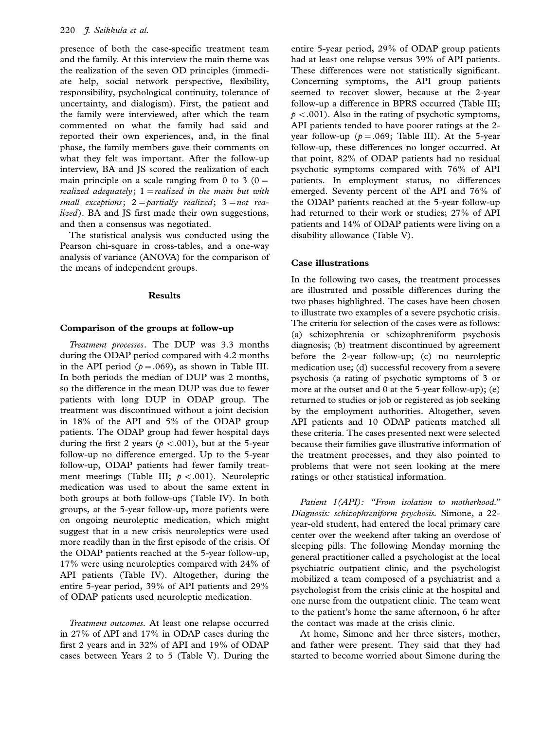presence of both the case-specific treatment team and the family. At this interview the main theme was the realization of the seven OD principles (immediate help, social network perspective, flexibility, responsibility, psychological continuity, tolerance of uncertainty, and dialogism). First, the patient and the family were interviewed, after which the team commented on what the family had said and reported their own experiences, and, in the final phase, the family members gave their comments on what they felt was important. After the follow-up interview, BA and JS scored the realization of each main principle on a scale ranging from 0 to 3 ( $0 =$ realized adequately;  $1$  = realized in the main but with small exceptions;  $2=$  partially realized;  $3=$  not rea*lized*). BA and JS first made their own suggestions, and then a consensus was negotiated.

The statistical analysis was conducted using the Pearson chi-square in cross-tables, and a one-way analysis of variance (ANOVA) for the comparison of the means of independent groups.

# Results

# Comparison of the groups at follow-up

Treatment processes. The DUP was 3.3 months during the ODAP period compared with 4.2 months in the API period ( $p = .069$ ), as shown in Table III. In both periods the median of DUP was 2 months, so the difference in the mean DUP was due to fewer patients with long DUP in ODAP group. The treatment was discontinued without a joint decision in 18% of the API and 5% of the ODAP group patients. The ODAP group had fewer hospital days during the first 2 years ( $p < .001$ ), but at the 5-year follow-up no difference emerged. Up to the 5-year follow-up, ODAP patients had fewer family treatment meetings (Table III;  $p < .001$ ). Neuroleptic medication was used to about the same extent in both groups at both follow-ups (Table IV). In both groups, at the 5-year follow-up, more patients were on ongoing neuroleptic medication, which might suggest that in a new crisis neuroleptics were used more readily than in the first episode of the crisis. Of the ODAP patients reached at the 5-year follow-up, 17% were using neuroleptics compared with 24% of API patients (Table IV). Altogether, during the entire 5-year period, 39% of API patients and 29% of ODAP patients used neuroleptic medication.

Treatment outcomes. At least one relapse occurred in 27% of API and 17% in ODAP cases during the first 2 years and in 32% of API and 19% of ODAP cases between Years 2 to 5 (Table V). During the

entire 5-year period, 29% of ODAP group patients had at least one relapse versus 39% of API patients. These differences were not statistically significant. Concerning symptoms, the API group patients seemed to recover slower, because at the 2-year follow-up a difference in BPRS occurred (Table III;  $p < .001$ ). Also in the rating of psychotic symptoms, API patients tended to have poorer ratings at the 2 year follow-up ( $p = .069$ ; Table III). At the 5-year follow-up, these differences no longer occurred. At that point, 82% of ODAP patients had no residual psychotic symptoms compared with 76% of API patients. In employment status, no differences emerged. Seventy percent of the API and 76% of the ODAP patients reached at the 5-year follow-up had returned to their work or studies; 27% of API patients and 14% of ODAP patients were living on a disability allowance (Table V).

# Case illustrations

In the following two cases, the treatment processes are illustrated and possible differences during the two phases highlighted. The cases have been chosen to illustrate two examples of a severe psychotic crisis. The criteria for selection of the cases were as follows: (a) schizophrenia or schizophreniform psychosis diagnosis; (b) treatment discontinued by agreement before the 2-year follow-up; (c) no neuroleptic medication use; (d) successful recovery from a severe psychosis (a rating of psychotic symptoms of 3 or more at the outset and 0 at the 5-year follow-up); (e) returned to studies or job or registered as job seeking by the employment authorities. Altogether, seven API patients and 10 ODAP patients matched all these criteria. The cases presented next were selected because their families gave illustrative information of the treatment processes, and they also pointed to problems that were not seen looking at the mere ratings or other statistical information.

Patient 1(API): "From isolation to motherhood." Diagnosis: schizophreniform psychosis. Simone, a 22 year-old student, had entered the local primary care center over the weekend after taking an overdose of sleeping pills. The following Monday morning the general practitioner called a psychologist at the local psychiatric outpatient clinic, and the psychologist mobilized a team composed of a psychiatrist and a psychologist from the crisis clinic at the hospital and one nurse from the outpatient clinic. The team went to the patient's home the same afternoon, 6 hr after the contact was made at the crisis clinic.

At home, Simone and her three sisters, mother, and father were present. They said that they had started to become worried about Simone during the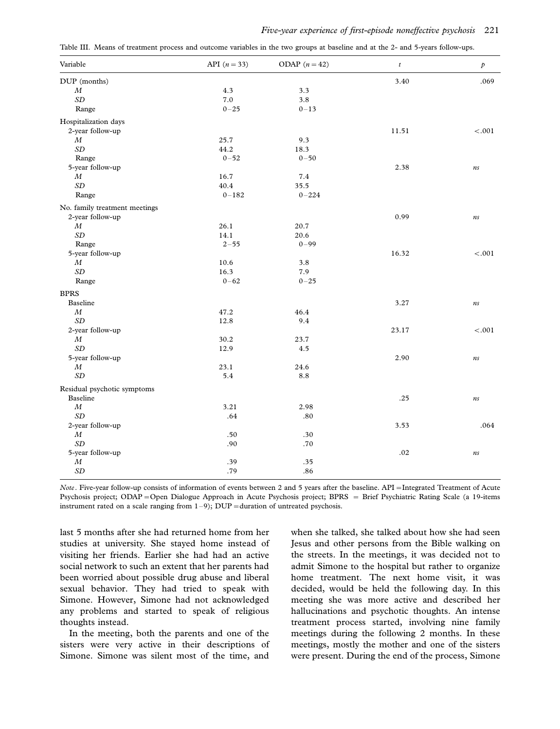|  | Table III. Means of treatment process and outcome variables in the two groups at baseline and at the 2- and 5-years follow-ups. |  |  |  |
|--|---------------------------------------------------------------------------------------------------------------------------------|--|--|--|
|--|---------------------------------------------------------------------------------------------------------------------------------|--|--|--|

| Variable                      | API $(n = 33)$ | ODAP $(n = 42)$ | $\boldsymbol{t}$ | $\mathcal{P}% _{0}$ |
|-------------------------------|----------------|-----------------|------------------|---------------------|
| DUP (months)                  |                |                 | 3.40             | .069                |
| $\cal M$                      | 4.3            | 3.3             |                  |                     |
| $\mathcal{SD}$                | 7.0            | 3.8             |                  |                     |
| Range                         | $0 - 25$       | $0 - 13$        |                  |                     |
| Hospitalization days          |                |                 |                  |                     |
| 2-year follow-up              |                |                 | 11.51            | $<.001$             |
| $\cal M$                      | 25.7           | 9.3             |                  |                     |
| SD                            | 44.2           | 18.3            |                  |                     |
| Range                         | $0 - 52$       | $0 - 50$        |                  |                     |
| 5-year follow-up              |                |                 | 2.38             | ns                  |
| $\boldsymbol{M}$              | 16.7           | 7.4             |                  |                     |
| $\mathcal{SD}$                | $40.4\,$       | 35.5            |                  |                     |
| Range                         | $0 - 182$      | $0 - 224$       |                  |                     |
| No. family treatment meetings |                |                 |                  |                     |
| 2-year follow-up              |                |                 | 0.99             | ns                  |
| $\cal M$                      | 26.1           | 20.7            |                  |                     |
| $\mathcal{SD}$                | 14.1           | 20.6            |                  |                     |
| Range                         | $2 - 55$       | $0 - 99$        |                  |                     |
| 5-year follow-up              |                |                 | 16.32            | < .001              |
| $\cal M$                      | 10.6           | 3.8             |                  |                     |
| SD                            | 16.3           | 7.9             |                  |                     |
| Range                         | $0 - 62$       | $0 - 25$        |                  |                     |
| <b>BPRS</b>                   |                |                 |                  |                     |
| <b>Baseline</b>               |                |                 | 3.27             | ns                  |
| $\cal M$                      | 47.2           | 46.4            |                  |                     |
| $\mathcal{SD}$                | 12.8           | 9.4             |                  |                     |
| 2-year follow-up              |                |                 | 23.17            | < .001              |
| М                             | 30.2           | 23.7            |                  |                     |
| SD                            | 12.9           | 4.5             |                  |                     |
| 5-year follow-up              |                |                 | 2.90             | ns                  |
| М                             | 23.1           | 24.6            |                  |                     |
| SD                            | 5.4            | 8.8             |                  |                     |
| Residual psychotic symptoms   |                |                 |                  |                     |
| Baseline                      |                |                 | .25              | ns                  |
| М                             | 3.21           | 2.98            |                  |                     |
| <b>SD</b>                     | .64            | .80             |                  |                     |
| 2-year follow-up              |                |                 | 3.53             | .064                |
| $\cal M$                      | .50            | .30             |                  |                     |
| $\mathcal{SD}$                | .90            | .70             |                  |                     |
| 5-year follow-up              |                |                 | $.02\,$          | ns                  |
| $\cal M$                      | .39            | .35             |                  |                     |
| $\mathcal{SD}$                | .79            | .86             |                  |                     |

Note. Five-year follow-up consists of information of events between 2 and 5 years after the baseline. API = Integrated Treatment of Acute Psychosis project; ODAP = Open Dialogue Approach in Acute Psychosis project; BPRS = Brief Psychiatric Rating Scale (a 19-items instrument rated on a scale ranging from  $1-9$ );  $DUP =$ duration of untreated psychosis.

last 5 months after she had returned home from her studies at university. She stayed home instead of visiting her friends. Earlier she had had an active social network to such an extent that her parents had been worried about possible drug abuse and liberal sexual behavior. They had tried to speak with Simone. However, Simone had not acknowledged any problems and started to speak of religious thoughts instead.

In the meeting, both the parents and one of the sisters were very active in their descriptions of Simone. Simone was silent most of the time, and

when she talked, she talked about how she had seen Jesus and other persons from the Bible walking on the streets. In the meetings, it was decided not to admit Simone to the hospital but rather to organize home treatment. The next home visit, it was decided, would be held the following day. In this meeting she was more active and described her hallucinations and psychotic thoughts. An intense treatment process started, involving nine family meetings during the following 2 months. In these meetings, mostly the mother and one of the sisters were present. During the end of the process, Simone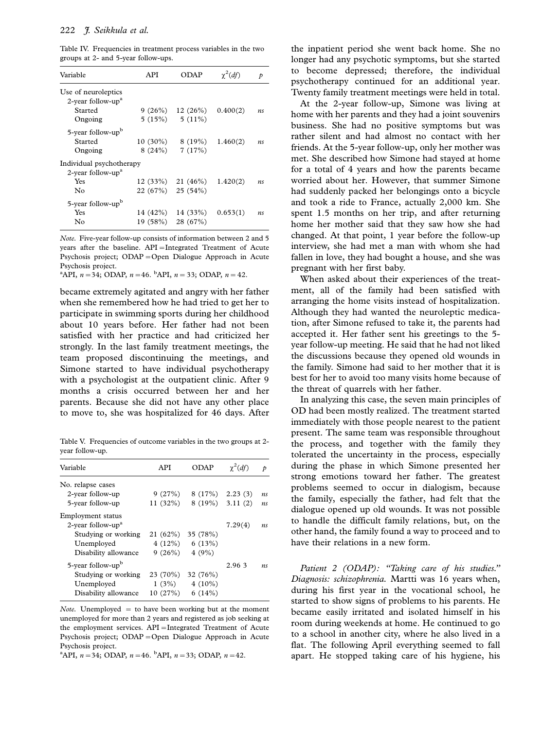Table IV. Frequencies in treatment process variables in the two groups at 2- and 5-year follow-ups.

| Variable                         | API        | <b>ODAP</b>         | $\gamma^2(df)$ | p  |  |
|----------------------------------|------------|---------------------|----------------|----|--|
| Use of neuroleptics              |            |                     |                |    |  |
| $2$ -year follow-up <sup>a</sup> |            |                     |                |    |  |
| Started                          | 9(26%)     | 12(26%)             | 0.400(2)       | ns |  |
| Ongoing                          | 5(15%)     | 5(11%)              |                |    |  |
| 5-year follow-upb                |            |                     |                |    |  |
| Started                          | $10(30\%)$ | $8(19\%)$           | 1.460(2)       | ns |  |
| Ongoing                          | 8(24%)     | 7(17%)              |                |    |  |
| Individual psychotherapy         |            |                     |                |    |  |
| $2$ -year follow-up <sup>a</sup> |            |                     |                |    |  |
| Yes                              |            | $12(33\%)$ 21 (46%) | 1.420(2)       | ns |  |
| No                               |            | $22(67%)$ $25(54%)$ |                |    |  |
| 5-year follow-up <sup>b</sup>    |            |                     |                |    |  |
| Yes                              | 14 (42%)   | $14(33\%)$          | 0.653(1)       | ns |  |
| No                               | 19(58%)    | 28 (67%)            |                |    |  |

Note. Five-year follow-up consists of information between 2 and 5 years after the baseline. API=Integrated Treatment of Acute Psychosis project; ODAP = Open Dialogue Approach in Acute Psychosis project.

<sup>a</sup>API,  $n = 34$ ; ODAP,  $n = 46$ . <sup>b</sup>API,  $n = 33$ ; ODAP,  $n = 42$ .

became extremely agitated and angry with her father when she remembered how he had tried to get her to participate in swimming sports during her childhood about 10 years before. Her father had not been satisfied with her practice and had criticized her strongly. In the last family treatment meetings, the team proposed discontinuing the meetings, and Simone started to have individual psychotherapy with a psychologist at the outpatient clinic. After 9 months a crisis occurred between her and her parents. Because she did not have any other place to move to, she was hospitalized for 46 days. After

Table V. Frequencies of outcome variables in the two groups at 2 year follow-up.

| Variable                         | API       | ODAP       | $\chi^2(df)$ | Þ  |
|----------------------------------|-----------|------------|--------------|----|
| No. relapse cases                |           |            |              |    |
| 2-year follow-up                 | 9(27%)    | 8(17%)     | 2.23(3)      | ns |
| 5-year follow-up                 | 11 (32%)  | $8(19\%)$  | 3.11(2)      | ns |
| Employment status                |           |            |              |    |
| $2$ -year follow-up <sup>a</sup> |           |            | 7.29(4)      | ns |
| Studying or working              | 21 (62%)  | 35 (78%)   |              |    |
| Unemployed                       | $4(12\%)$ | 6(13%)     |              |    |
| Disability allowance             | 9(26%)    | 4(9%)      |              |    |
| 5-year follow-up <sup>b</sup>    |           |            | 2.963        | ns |
| Studying or working              | 23 (70%)  | 32 $(76%)$ |              |    |
| Unemployed                       | 1(3%)     | $4(10\%)$  |              |    |
| Disability allowance             | 10(27%)   | 6(14%)     |              |    |

*Note*. Unemployed  $=$  to have been working but at the moment unemployed for more than 2 years and registered as job seeking at the employment services. API = Integrated Treatment of Acute Psychosis project; ODAP = Open Dialogue Approach in Acute Psychosis project.

<sup>a</sup>API,  $n = 34$ ; ODAP,  $n = 46$ . <sup>b</sup>API,  $n = 33$ ; ODAP,  $n = 42$ .

the inpatient period she went back home. She no longer had any psychotic symptoms, but she started to become depressed; therefore, the individual psychotherapy continued for an additional year. Twenty family treatment meetings were held in total.

At the 2-year follow-up, Simone was living at home with her parents and they had a joint souvenirs business. She had no positive symptoms but was rather silent and had almost no contact with her friends. At the 5-year follow-up, only her mother was met. She described how Simone had stayed at home for a total of 4 years and how the parents became worried about her. However, that summer Simone had suddenly packed her belongings onto a bicycle and took a ride to France, actually 2,000 km. She spent 1.5 months on her trip, and after returning home her mother said that they saw how she had changed. At that point, 1 year before the follow-up interview, she had met a man with whom she had fallen in love, they had bought a house, and she was pregnant with her first baby.

When asked about their experiences of the treatment, all of the family had been satisfied with arranging the home visits instead of hospitalization. Although they had wanted the neuroleptic medication, after Simone refused to take it, the parents had accepted it. Her father sent his greetings to the 5 year follow-up meeting. He said that he had not liked the discussions because they opened old wounds in the family. Simone had said to her mother that it is best for her to avoid too many visits home because of the threat of quarrels with her father.

In analyzing this case, the seven main principles of OD had been mostly realized. The treatment started immediately with those people nearest to the patient present. The same team was responsible throughout the process, and together with the family they tolerated the uncertainty in the process, especially during the phase in which Simone presented her strong emotions toward her father. The greatest problems seemed to occur in dialogism, because the family, especially the father, had felt that the dialogue opened up old wounds. It was not possible to handle the difficult family relations, but, on the other hand, the family found a way to proceed and to have their relations in a new form.

Patient 2 (ODAP): "Taking care of his studies." Diagnosis: schizophrenia. Martti was 16 years when, during his first year in the vocational school, he started to show signs of problems to his parents. He became easily irritated and isolated himself in his room during weekends at home. He continued to go to a school in another city, where he also lived in a flat. The following April everything seemed to fall apart. He stopped taking care of his hygiene, his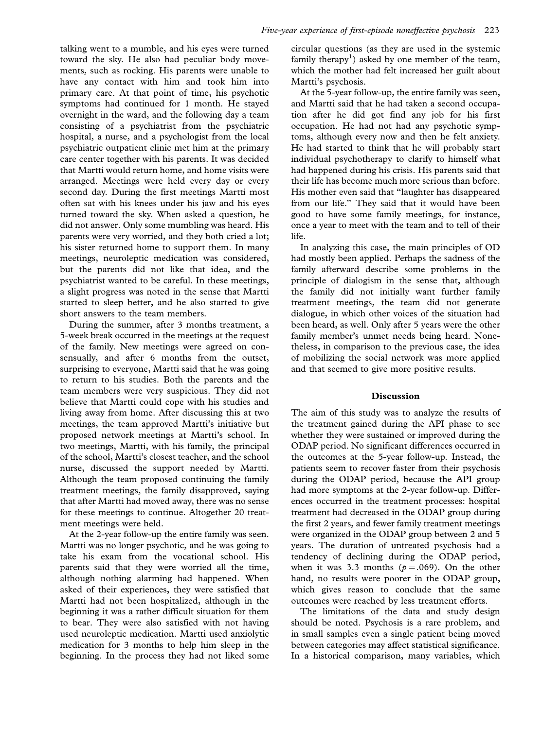talking went to a mumble, and his eyes were turned toward the sky. He also had peculiar body movements, such as rocking. His parents were unable to have any contact with him and took him into primary care. At that point of time, his psychotic symptoms had continued for 1 month. He stayed overnight in the ward, and the following day a team consisting of a psychiatrist from the psychiatric hospital, a nurse, and a psychologist from the local psychiatric outpatient clinic met him at the primary care center together with his parents. It was decided that Martti would return home, and home visits were arranged. Meetings were held every day or every second day. During the first meetings Martti most often sat with his knees under his jaw and his eyes turned toward the sky. When asked a question, he did not answer. Only some mumbling was heard. His parents were very worried, and they both cried a lot; his sister returned home to support them. In many meetings, neuroleptic medication was considered, but the parents did not like that idea, and the psychiatrist wanted to be careful. In these meetings, a slight progress was noted in the sense that Martti started to sleep better, and he also started to give short answers to the team members.

During the summer, after 3 months treatment, a 5-week break occurred in the meetings at the request of the family. New meetings were agreed on consensually, and after 6 months from the outset, surprising to everyone, Martti said that he was going to return to his studies. Both the parents and the team members were very suspicious. They did not believe that Martti could cope with his studies and living away from home. After discussing this at two meetings, the team approved Martti's initiative but proposed network meetings at Martti's school. In two meetings, Martti, with his family, the principal of the school, Martti's closest teacher, and the school nurse, discussed the support needed by Martti. Although the team proposed continuing the family treatment meetings, the family disapproved, saying that after Martti had moved away, there was no sense for these meetings to continue. Altogether 20 treatment meetings were held.

At the 2-year follow-up the entire family was seen. Martti was no longer psychotic, and he was going to take his exam from the vocational school. His parents said that they were worried all the time, although nothing alarming had happened. When asked of their experiences, they were satisfied that Martti had not been hospitalized, although in the beginning it was a rather difficult situation for them to bear. They were also satisfied with not having used neuroleptic medication. Martti used anxiolytic medication for 3 months to help him sleep in the beginning. In the process they had not liked some circular questions (as they are used in the systemic family therapy<sup>1</sup>) asked by one member of the team, which the mother had felt increased her guilt about Martti's psychosis.

At the 5-year follow-up, the entire family was seen, and Martti said that he had taken a second occupation after he did got find any job for his first occupation. He had not had any psychotic symptoms, although every now and then he felt anxiety. He had started to think that he will probably start individual psychotherapy to clarify to himself what had happened during his crisis. His parents said that their life has become much more serious than before. His mother even said that ''laughter has disappeared from our life.'' They said that it would have been good to have some family meetings, for instance, once a year to meet with the team and to tell of their life.

In analyzing this case, the main principles of OD had mostly been applied. Perhaps the sadness of the family afterward describe some problems in the principle of dialogism in the sense that, although the family did not initially want further family treatment meetings, the team did not generate dialogue, in which other voices of the situation had been heard, as well. Only after 5 years were the other family member's unmet needs being heard. Nonetheless, in comparison to the previous case, the idea of mobilizing the social network was more applied and that seemed to give more positive results.

## Discussion

The aim of this study was to analyze the results of the treatment gained during the API phase to see whether they were sustained or improved during the ODAP period. No significant differences occurred in the outcomes at the 5-year follow-up. Instead, the patients seem to recover faster from their psychosis during the ODAP period, because the API group had more symptoms at the 2-year follow-up. Differences occurred in the treatment processes: hospital treatment had decreased in the ODAP group during the first 2 years, and fewer family treatment meetings were organized in the ODAP group between 2 and 5 years. The duration of untreated psychosis had a tendency of declining during the ODAP period, when it was 3.3 months ( $p = .069$ ). On the other hand, no results were poorer in the ODAP group, which gives reason to conclude that the same outcomes were reached by less treatment efforts.

The limitations of the data and study design should be noted. Psychosis is a rare problem, and in small samples even a single patient being moved between categories may affect statistical significance. In a historical comparison, many variables, which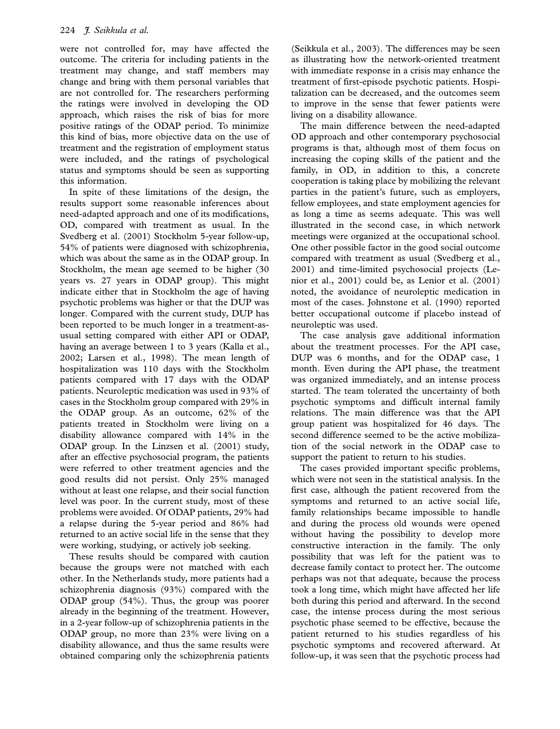were not controlled for, may have affected the outcome. The criteria for including patients in the treatment may change, and staff members may change and bring with them personal variables that are not controlled for. The researchers performing the ratings were involved in developing the OD approach, which raises the risk of bias for more positive ratings of the ODAP period. To minimize this kind of bias, more objective data on the use of treatment and the registration of employment status were included, and the ratings of psychological status and symptoms should be seen as supporting this information.

In spite of these limitations of the design, the results support some reasonable inferences about need-adapted approach and one of its modifications, OD, compared with treatment as usual. In the Svedberg et al. (2001) Stockholm 5-year follow-up, 54% of patients were diagnosed with schizophrenia, which was about the same as in the ODAP group. In Stockholm, the mean age seemed to be higher (30 years vs. 27 years in ODAP group). This might indicate either that in Stockholm the age of having psychotic problems was higher or that the DUP was longer. Compared with the current study, DUP has been reported to be much longer in a treatment-asusual setting compared with either API or ODAP, having an average between 1 to 3 years (Kalla et al., 2002; Larsen et al., 1998). The mean length of hospitalization was 110 days with the Stockholm patients compared with 17 days with the ODAP patients. Neuroleptic medication was used in 93% of cases in the Stockholm group compared with 29% in the ODAP group. As an outcome, 62% of the patients treated in Stockholm were living on a disability allowance compared with 14% in the ODAP group. In the Linzsen et al. (2001) study, after an effective psychosocial program, the patients were referred to other treatment agencies and the good results did not persist. Only 25% managed without at least one relapse, and their social function level was poor. In the current study, most of these problems were avoided. Of ODAP patients, 29% had a relapse during the 5-year period and 86% had returned to an active social life in the sense that they were working, studying, or actively job seeking.

These results should be compared with caution because the groups were not matched with each other. In the Netherlands study, more patients had a schizophrenia diagnosis (93%) compared with the ODAP group (54%). Thus, the group was poorer already in the beginning of the treatment. However, in a 2-year follow-up of schizophrenia patients in the ODAP group, no more than 23% were living on a disability allowance, and thus the same results were obtained comparing only the schizophrenia patients

(Seikkula et al., 2003). The differences may be seen as illustrating how the network-oriented treatment with immediate response in a crisis may enhance the treatment of first-episode psychotic patients. Hospitalization can be decreased, and the outcomes seem to improve in the sense that fewer patients were living on a disability allowance.

The main difference between the need-adapted OD approach and other contemporary psychosocial programs is that, although most of them focus on increasing the coping skills of the patient and the family, in OD, in addition to this, a concrete cooperation is taking place by mobilizing the relevant parties in the patient's future, such as employers, fellow employees, and state employment agencies for as long a time as seems adequate. This was well illustrated in the second case, in which network meetings were organized at the occupational school. One other possible factor in the good social outcome compared with treatment as usual (Svedberg et al., 2001) and time-limited psychosocial projects (Lenior et al., 2001) could be, as Lenior et al. (2001) noted, the avoidance of neuroleptic medication in most of the cases. Johnstone et al. (1990) reported better occupational outcome if placebo instead of neuroleptic was used.

The case analysis gave additional information about the treatment processes. For the API case, DUP was 6 months, and for the ODAP case, 1 month. Even during the API phase, the treatment was organized immediately, and an intense process started. The team tolerated the uncertainty of both psychotic symptoms and difficult internal family relations. The main difference was that the API group patient was hospitalized for 46 days. The second difference seemed to be the active mobilization of the social network in the ODAP case to support the patient to return to his studies.

The cases provided important specific problems, which were not seen in the statistical analysis. In the first case, although the patient recovered from the symptoms and returned to an active social life, family relationships became impossible to handle and during the process old wounds were opened without having the possibility to develop more constructive interaction in the family. The only possibility that was left for the patient was to decrease family contact to protect her. The outcome perhaps was not that adequate, because the process took a long time, which might have affected her life both during this period and afterward. In the second case, the intense process during the most serious psychotic phase seemed to be effective, because the patient returned to his studies regardless of his psychotic symptoms and recovered afterward. At follow-up, it was seen that the psychotic process had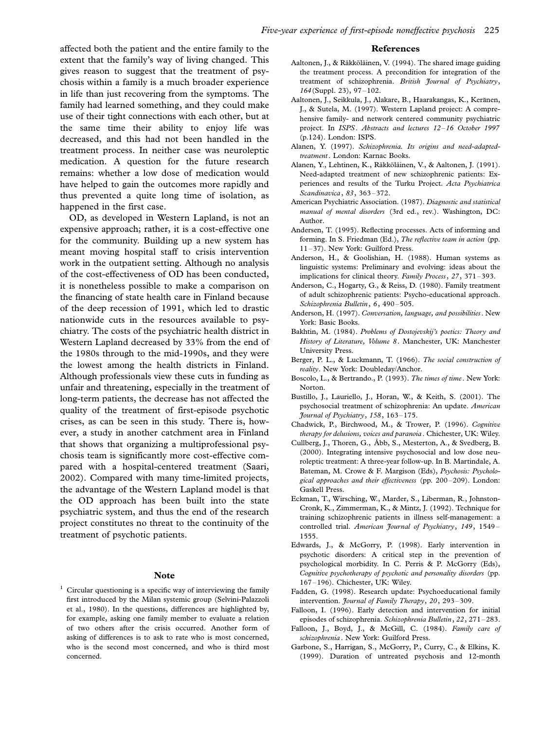#### References

affected both the patient and the entire family to the extent that the family's way of living changed. This gives reason to suggest that the treatment of psychosis within a family is a much broader experience in life than just recovering from the symptoms. The family had learned something, and they could make use of their tight connections with each other, but at 164(Suppl. 23), 97-102. (p.124). London: ISPS.

the same time their ability to enjoy life was decreased, and this had not been handled in the treatment process. In neither case was neuroleptic medication. A question for the future research remains: whether a low dose of medication would have helped to gain the outcomes more rapidly and thus prevented a quite long time of isolation, as happened in the first case.

OD, as developed in Western Lapland, is not an expensive approach; rather, it is a cost-effective one for the community. Building up a new system has meant moving hospital staff to crisis intervention work in the outpatient setting. Although no analysis of the cost-effectiveness of OD has been conducted, it is nonetheless possible to make a comparison on the financing of state health care in Finland because of the deep recession of 1991, which led to drastic nationwide cuts in the resources available to psychiatry. The costs of the psychiatric health district in Western Lapland decreased by 33% from the end of the 1980s through to the mid-1990s, and they were the lowest among the health districts in Finland. Although professionals view these cuts in funding as unfair and threatening, especially in the treatment of long-term patients, the decrease has not affected the quality of the treatment of first-episode psychotic crises, as can be seen in this study. There is, however, a study in another catchment area in Finland that shows that organizing a multiprofessional psychosis team is significantly more cost-effective compared with a hospital-centered treatment (Saari, 2002). Compared with many time-limited projects, the advantage of the Western Lapland model is that the OD approach has been built into the state psychiatric system, and thus the end of the research project constitutes no threat to the continuity of the treatment of psychotic patients.

# Note

<sup>1</sup> Circular questioning is a specific way of interviewing the family first introduced by the Milan systemic group (Selvini-Palazzoli et al., 1980). In the questions, differences are highlighted by, for example, asking one family member to evaluate a relation of two others after the crisis occurred. Another form of asking of differences is to ask to rate who is most concerned, who is the second most concerned, and who is third most concerned.

- Aaltonen, J., & Räkköläinen, V. (1994). The shared image guiding the treatment process. A precondition for integration of the treatment of schizophrenia. British Journal of Psychiatry,
- Aaltonen, J., Seikkula, J., Alakare, B., Haarakangas, K., Keränen, J., & Sutela, M. (1997). Western Lapland project: A comprehensive family- and network centered community psychiatric project. In ISPS. Abstracts and lectures 12-16 October 1997
- Alanen, Y. (1997). Schizophrenia. Its origins and need-adaptedtreatment. London: Karnac Books.
- Alanen, Y., Lehtinen, K., Räkköläinen, V., & Aaltonen, J. (1991). Need-adapted treatment of new schizophrenic patients: Experiences and results of the Turku Project. Acta Psychiatrica Scandinavica, 83, 363-372.
- American Psychiatric Association. (1987). Diagnostic and statistical manual of mental disorders (3rd ed., rev.). Washington, DC: Author.
- Andersen, T. (1995). Reflecting processes. Acts of informing and forming. In S. Friedman (Ed.), The reflective team in action (pp. 11-37). New York: Guilford Press.
- Anderson, H., & Goolishian, H. (1988). Human systems as linguistic systems: Preliminary and evolving: ideas about the implications for clinical theory. Family Process, 27, 371-393.
- Anderson, C., Hogarty, G., & Reiss, D. (1980). Family treatment of adult schizophrenic patients: Psycho-educational approach. Schizophrenia Bulletin, 6, 490-505.
- Anderson, H. (1997). Conversation, language, and possibilities. New York: Basic Books.
- Bakhtin, M. (1984). Problems of Dostojevskij's poetics: Theory and History of Literature, Volume 8. Manchester, UK: Manchester University Press.
- Berger, P. L., & Luckmann, T. (1966). The social construction of reality. New York: Doubleday/Anchor.
- Boscolo, L., & Bertrando., P. (1993). The times of time. New York: Norton.
- Bustillo, J., Lauriello, J., Horan, W., & Keith, S. (2001). The psychosocial treatment of schizophrenia: An update. American Journal of Psychiatry, 158, 163-175.
- Chadwick, P., Birchwood, M., & Trower, P. (1996). Cognitive therapy for delusions, voices and paranoia. Chichester, UK: Wiley.
- Cullberg, J., Thoren, G., Åbb, S., Mesterton, A., & Svedberg, B. (2000). Integrating intensive psychosocial and low dose neuroleptic treatment: A three-year follow-up. In B. Martindale, A. Bateman, M. Crowe & F. Margison (Eds), Psychosis: Psychological approaches and their effectiveness (pp. 200-209). London: Gaskell Press.
- Eckman, T., Wirsching, W., Marder, S., Liberman, R., Johnston-Cronk, K., Zimmerman, K., & Mintz, J. (1992). Technique for training schizophrenic patients in illness self-management: a controlled trial. American Journal of Psychiatry, 149, 1549-1555.
- Edwards, J., & McGorry, P. (1998). Early intervention in psychotic disorders: A critical step in the prevention of psychological morbidity. In C. Perris & P. McGorry (Eds), Cognitive psychotherapy of psychotic and personality disorders (pp. 167-196). Chichester, UK: Wiley.
- Fadden, G. (1998). Research update: Psychoeducational family intervention. Journal of Family Therapy, 20, 293-309.
- Falloon, I. (1996). Early detection and intervention for initial episodes of schizophrenia. Schizophrenia Bulletin, 22, 271-283.
- Falloon, J., Boyd, J., & McGill, C. (1984). Family care of schizophrenia. New York: Guilford Press.
- Garbone, S., Harrigan, S., McGorry, P., Curry, C., & Elkins, K. (1999). Duration of untreated psychosis and 12-month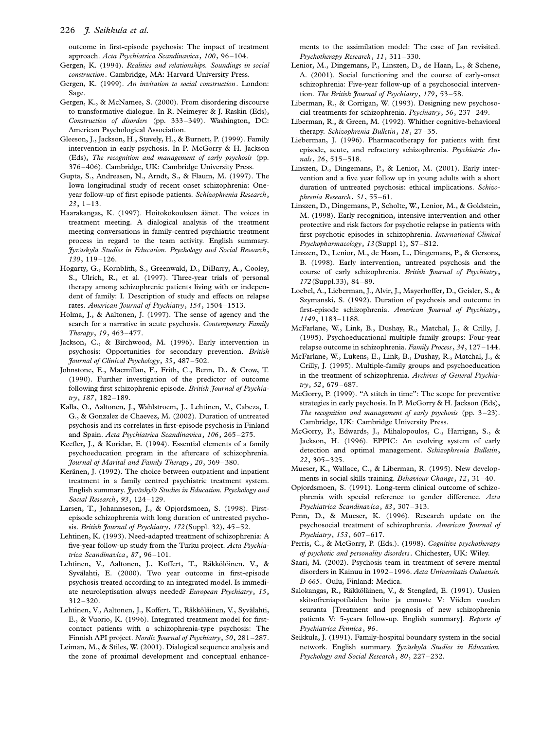outcome in first-episode psychosis: The impact of treatment approach. Acta Psychiatrica Scandinavica, 100, 96-104.

- Gergen, K. (1994). Realities and relationships. Soundings in social construction. Cambridge, MA: Harvard University Press.
- Gergen, K. (1999). An invitation to social construction. London: Sage.
- Gergen, K., & McNamee, S. (2000). From disordering discourse to transformative dialogue. In R. Neimeyer & J. Raskin (Eds), Construction of disorders (pp. 333-349). Washington, DC: American Psychological Association.
- Gleeson, J., Jackson, H., Stavely, H., & Burnett, P. (1999). Family intervention in early psychosis. In P. McGorry & H. Jackson (Eds), The recognition and management of early psychosis (pp. 376-406). Cambridge, UK: Cambridge University Press.
- Gupta, S., Andreasen, N., Arndt, S., & Flaum, M. (1997). The Iowa longitudinal study of recent onset schizophrenia: Oneyear follow-up of first episode patients. Schizophrenia Research,  $23, 1-13.$
- Haarakangas, K. (1997). Hoitokokouksen äänet. The voices in treatment meeting. A dialogical analysis of the treatment meeting conversations in family-centred psychiatric treatment process in regard to the team activity. English summary. Jyväskylä Studies in Education. Psychology and Social Research, 130, 119-126.
- Hogarty, G., Kornblith, S., Greenwald, D., DiBarry, A., Cooley, S., Ulrich, R., et al. (1997). Three-year trials of personal therapy among schizophrenic patients living with or independent of family: I. Description of study and effects on relapse rates. American Journal of Psychiatry, 154, 1504-1513.
- Holma, J., & Aaltonen, J. (1997). The sense of agency and the search for a narrative in acute psychosis. Contemporary Family Therapy, 19, 463-477.
- Jackson, C., & Birchwood, M. (1996). Early intervention in psychosis: Opportunities for secondary prevention. British Journal of Clinical Psychology, 35, 487-/502.
- Johnstone, E., Macmillan, F., Frith, C., Benn, D., & Crow, T. (1990). Further investigation of the predictor of outcome following first schizophrenic episode. British Journal of Psychiatry, 187, 182-189.
- Kalla, O., Aaltonen, J., Wahlstroem, J., Lehtinen, V., Cabeza, I. G., & Gonzalez de Chaevez, M. (2002). Duration of untreated psychosis and its correlates in first-episode psychosis in Finland and Spain. Acta Psychiatrica Scandinavica, 106, 265-275.
- Keefler, J., & Koridar, E. (1994). Essential elements of a family psychoeducation program in the aftercare of schizophrenia. Journal of Marital and Family Therapy, 20, 369-/380.
- Keränen, J. (1992). The choice between outpatient and inpatient treatment in a family centred psychiatric treatment system. English summary. Jyväskylä Studies in Education. Psychology and Social Research, 93, 124-129.
- Larsen, T., Johannseson, J., & Opjordsmoen, S. (1998). Firstepisode schizophrenia with long duration of untreated psychosis. British Journal of Psychiatry, 172 (Suppl. 32), 45-52.
- Lehtinen, K. (1993). Need-adapted treatment of schizophrenia: A five-year follow-up study from the Turku project. Acta Psychiatrica Scandinavica, 87, 96–101.
- Lehtinen, V., Aaltonen, J., Koffert, T., Räkkölöinen, V., & Syvälahti, E. (2000). Two year outcome in first-episode psychosis treated according to an integrated model. Is immediate neuroleptisation always needed? European Psychiatry, 15, 312-/320.
- Lehtinen, V., Aaltonen, J., Koffert, T., Räkköläinen, V., Syvälahti, E., & Vuorio, K. (1996). Integrated treatment model for firstcontact patients with a schizophrenia-type psychosis: The Finnish API project. Nordic Journal of Psychiatry, 50, 281-287.
- Leiman, M., & Stiles, W. (2001). Dialogical sequence analysis and the zone of proximal development and conceptual enhance-

ments to the assimilation model: The case of Jan revisited. Psychotherapy Research, 11, 311-330.

- Lenior, M., Dingemans, P., Linszen, D., de Haan, L., & Schene, A. (2001). Social functioning and the course of early-onset schizophrenia: Five-year follow-up of a psychosocial intervention. The British Journal of Psychiatry, 179, 53-58.
- Liberman, R., & Corrigan, W. (1993). Designing new psychosocial treatments for schizophrenia. Psychiatry, 56, 237-249.
- Liberman, R., & Green, M. (1992). Whither cognitive-behavioral therapy. Schizophrenia Bulletin, 18, 27-35.
- Lieberman, J. (1996). Pharmacotherapy for patients with first episode, acute, and refractory schizophrenia. Psychiatric Annals, 26, 515–518.
- Linszen, D., Dingemans, P., & Lenior, M. (2001). Early intervention and a five year follow up in young adults with a short duration of untreated psychosis: ethical implications. Schizophrenia Research, 51, 55-/61.
- Linszen, D., Dingemans, P., Scholte, W., Lenior, M., & Goldstein, M. (1998). Early recognition, intensive intervention and other protective and risk factors for psychotic relapse in patients with first psychotic episodes in schizophrenia. International Clinical Psychopharmacology, 13 (Suppl 1), S7-S12.
- Linszen, D., Lenior, M., de Haan, L., Dingemans, P., & Gersons, B. (1998). Early intervention, untreated psychosis and the course of early schizophrenia. British Journal of Psychiatry, 172 (Suppl.33), 84-89.
- Loebel, A., Lieberman, J., Alvir, J., Mayerhoffer, D., Geisler, S., & Szymanski, S. (1992). Duration of psychosis and outcome in first-episode schizophrenia. American Journal of Psychiatry, 1149, 1183-1188.
- McFarlane, W., Link, B., Dushay, R., Matchal, J., & Crilly, J. (1995). Psychoeducational multiple family groups: Four-year relapse outcome in schizophrenia. Family Process, 34, 127-144.
- McFarlane, W., Lukens, E., Link, B., Dushay, R., Matchal, J., & Crilly, J. (1995). Multiple-family groups and psychoeducation in the treatment of schizophrenia. Archives of General Psychiatry, 52, 679-687.
- McGorry, P. (1999). ''A stitch in time'': The scope for preventive strategies in early psychosis. In P. McGorry & H. Jackson (Eds), The recognition and management of early psychosis (pp.  $3-23$ ). Cambridge, UK: Cambridge University Press.
- McGorry, P., Edwards, J., Mihalopoulos, C., Harrigan, S., & Jackson, H. (1996). EPPIC: An evolving system of early detection and optimal management. Schizophrenia Bulletin, 22, 305-/325.
- Mueser, K., Wallace, C., & Liberman, R. (1995). New developments in social skills training. Behaviour Change, 12, 31-40.
- Opjordsmoen, S. (1991). Long-term clinical outcome of schizophrenia with special reference to gender difference. Acta Psychiatrica Scandinavica, 83, 307-313.
- Penn, D., & Mueser, K. (1996). Research update on the psychosocial treatment of schizophrenia. American Journal of Psychiatry, 153, 607-617.
- Perris, C., & McGorry, P. (Eds.). (1998). Cognitive psychotherapy of psychotic and personality disorders. Chichester, UK: Wiley.
- Saari, M. (2002). Psychosis team in treatment of severe mental disorders in Kainuu in 1992-1996. Acta Universitatis Ouluensis. D 665. Oulu, Finland: Medica.
- Salokangas, R., Räkköläinen, V., & Stengård, E. (1991). Uusien skitsofreniapotilaiden hoito ja ennuste V: Viiden vuoden seuranta [Treatment and prognosis of new schizophrenia patients V: 5-years follow-up. English summary]. Reports of Psychiatrica Fennica, 96.
- Seikkula, J. (1991). Family-hospital boundary system in the social network. English summary. Jyväskylä Studies in Education. Psychology and Social Research, 80, 227-232.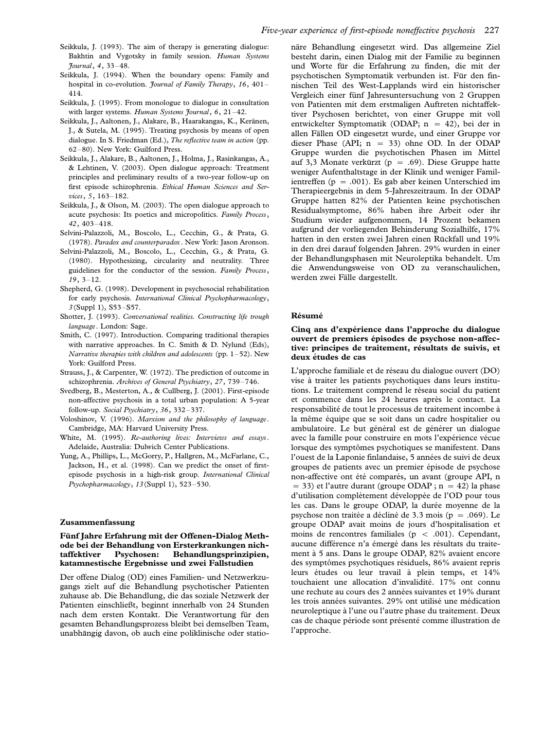- Seikkula, J. (1993). The aim of therapy is generating dialogue: Bakhtin and Vygotsky in family session. Human Systems Journal, 4, 33-/48.
- Seikkula, J. (1994). When the boundary opens: Family and hospital in co-evolution. Journal of Family Therapy, 16, 401-414.
- Seikkula, J. (1995). From monologue to dialogue in consultation with larger systems. Human Systems Journal, 6, 21-42.
- Seikkula, J., Aaltonen, J., Alakare, B., Haarakangas, K., Keränen, J., & Sutela, M. (1995). Treating psychosis by means of open dialogue. In S. Friedman (Ed.), The reflective team in action (pp. 62-80). New York: Guilford Press.
- Seikkula, J., Alakare, B., Aaltonen, J., Holma, J., Rasinkangas, A., & Lehtinen, V. (2003). Open dialogue approach: Treatment principles and preliminary results of a two-year follow-up on first episode schizophrenia. Ethical Human Sciences and Services, 5, 163-182.
- Seikkula, J., & Olson, M. (2003). The open dialogue approach to acute psychosis: Its poetics and micropolitics. Family Process, 42, 403-/418.
- Selvini-Palazzoli, M., Boscolo, L., Cecchin, G., & Prata, G. (1978). Paradox and counterparadox . New York: Jason Aronson.
- Selvini-Palazzoli, M., Boscolo, L., Cecchin, G., & Prata, G. (1980). Hypothesizing, circularity and neutrality. Three guidelines for the conductor of the session. Family Process,  $19, 3 - 12.$
- Shepherd, G. (1998). Development in psychosocial rehabilitation for early psychosis. International Clinical Psychopharmacology, 3(Suppl 1), S53-S57.
- Shotter, J. (1993). Conversational realities. Constructing life trough language. London: Sage.
- Smith, C. (1997). Introduction. Comparing traditional therapies with narrative approaches. In C. Smith & D. Nylund (Eds), Narrative therapies with children and adolescents (pp.  $1-52$ ). New York: Guilford Press.
- Strauss, J., & Carpenter, W. (1972). The prediction of outcome in schizophrenia. Archives of General Psychiatry, 27, 739-746.
- Svedberg, B., Mesterton, A., & Cullberg, J. (2001). First-episode non-affective psychosis in a total urban population: A 5-year follow-up. Social Psychiatry, 36, 332-337.
- Voloshinov, V. (1996). Marxism and the philosophy of language. Cambridge, MA: Harvard University Press.
- White, M. (1995). Re-authoring lives: Interviews and essays. Adelaide, Australia: Dulwich Center Publications.
- Yung, A., Phillips, L., McGorry, P., Hallgren, M., McFarlane, C., Jackson, H., et al. (1998). Can we predict the onset of firstepisode psychosis in a high-risk group. International Clinical Psychopharmacology, 13 (Suppl 1), 523-530.

#### Zusammenfassung

### Fünf Jahre Erfahrung mit der Offenen-Dialog Methode bei der Behandlung von Ersterkrankungen nichtaffektiver Psychosen: Behandlungsprinzipien, katamnestische Ergebnisse und zwei Fallstudien

Der offene Dialog (OD) eines Familien- und Netzwerkzugangs zielt auf die Behandlung psychotischer Patienten zuhause ab. Die Behandlung, die das soziale Netzwerk der Patienten einschließt, beginnt innerhalb von 24 Stunden nach dem ersten Kontakt. Die Verantwortung für den gesamten Behandlungsprozess bleibt bei demselben Team, unabhängig davon, ob auch eine poliklinische oder statio-

näre Behandlung eingesetzt wird. Das allgemeine Ziel besteht darin, einen Dialog mit der Familie zu beginnen und Worte für die Erfahrung zu finden, die mit der psychotischen Symptomatik verbunden ist. Für den finnischen Teil des West-Lapplands wird ein historischer Vergleich einer fünf Jahresuntersuchung von 2 Gruppen von Patienten mit dem erstmaligen Auftreten nichtaffektiver Psychosen berichtet, von einer Gruppe mit voll entwickelter Symptomatik (ODAP;  $n = 42$ ), bei der in allen Fällen OD eingesetzt wurde, und einer Gruppe vor dieser Phase (API;  $n = 33$ ) ohne OD. In der ODAP Gruppe wurden die psychotischen Phasen im Mittel auf 3,3 Monate verkürzt (p = .69). Diese Gruppe hatte weniger Aufenthaltstage in der Klinik und weniger Familientreffen (p = .001). Es gab aber keinen Unterschied im Therapieergebnis in dem 5-Jahreszeitraum. In der ODAP Gruppe hatten 82% der Patienten keine psychotischen Residualsymptome, 86% haben ihre Arbeit oder ihr Studium wieder aufgenommen, 14 Prozent bekamen aufgrund der vorliegenden Behinderung Sozialhilfe, 17% hatten in den ersten zwei Jahren einen Rückfall und 19% in den drei darauf folgenden Jahren. 29% wurden in einer der Behandlungsphasen mit Neuroleptika behandelt. Um die Anwendungsweise von OD zu veranschaulichen, werden zwei Fälle dargestellt.

#### Résumé

### Cinq ans d'expérience dans l'approche du dialogue ouvert de premiers épisodes de psychose non-affective: principes de traitement, résultats de suivis, et deux études de cas

L'approche familiale et de réseau du dialogue ouvert (DO) vise à traiter les patients psychotiques dans leurs institutions. Le traitement comprend le réseau social du patient et commence dans les 24 heures après le contact. La responsabilité de tout le processus de traitement incombe à la même équipe que se soit dans un cadre hospitalier ou ambulatoire. Le but général est de générer un dialogue avec la famille pour construire en mots l'expérience vécue lorsque des symptômes psychotiques se manifestent. Dans l'ouest de la Laponie finlandaise, 5 années de suivi de deux groupes de patients avec un premier épisode de psychose non-affective ont été comparés, un avant (groupe API, n  $=$  33) et l'autre durant (groupe ODAP ; n  $=$  42) la phase d'utilisation complètement développée de l'OD pour tous les cas. Dans le groupe ODAP, la durée moyenne de la psychose non traitée a décliné de 3.3 mois ( $p = .069$ ). Le groupe ODAP avait moins de jours d'hospitalisation et moins de rencontres familiales ( $p < .001$ ). Cependant, aucune différence n'a émergé dans les résultats du traitement à 5 ans. Dans le groupe ODAP, 82% avaient encore des symptômes psychotiques résiduels, 86% avaient repris leurs études ou leur travail à plein temps, et 14% touchaient une allocation d'invalidité. 17% ont connu une rechute au cours des 2 années suivantes et 19% durant les trois années suivantes. 29% ont utilisé une médication neuroleptique à l'une ou l'autre phase du traitement. Deux cas de chaque période sont présenté comme illustration de l'approche.